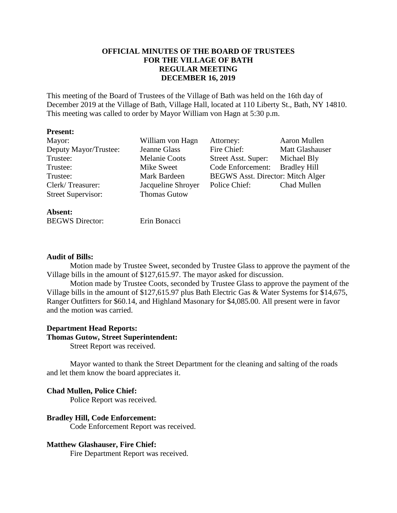# **OFFICIAL MINUTES OF THE BOARD OF TRUSTEES FOR THE VILLAGE OF BATH REGULAR MEETING DECEMBER 16, 2019**

This meeting of the Board of Trustees of the Village of Bath was held on the 16th day of December 2019 at the Village of Bath, Village Hall, located at 110 Liberty St., Bath, NY 14810. This meeting was called to order by Mayor William von Hagn at 5:30 p.m.

### **Present:**

| Mayor:                                  | William von Hagn     | Attorney:                                | Aaron Mullen        |
|-----------------------------------------|----------------------|------------------------------------------|---------------------|
| Deputy Mayor/Trustee:                   | Jeanne Glass         | Fire Chief:                              | Matt Glashauser     |
| Trustee:                                | <b>Melanie Coots</b> | Street Asst. Super:                      | Michael Bly         |
| Trustee:                                | Mike Sweet           | Code Enforcement:                        | <b>Bradley Hill</b> |
| Trustee:                                | Mark Bardeen         | <b>BEGWS Asst. Director: Mitch Alger</b> |                     |
| Clerk/Treasurer:                        | Jacqueline Shroyer   | Police Chief:                            | Chad Mullen         |
| <b>Street Supervisor:</b>               | <b>Thomas Gutow</b>  |                                          |                     |
| $\Delta$ <b>L</b> $\alpha$ and $\Delta$ |                      |                                          |                     |

| Absent:                |              |
|------------------------|--------------|
| <b>BEGWS</b> Director: | Erin Bonacci |

### **Audit of Bills:**

Motion made by Trustee Sweet, seconded by Trustee Glass to approve the payment of the Village bills in the amount of \$127,615.97. The mayor asked for discussion.

Motion made by Trustee Coots, seconded by Trustee Glass to approve the payment of the Village bills in the amount of \$127,615.97 plus Bath Electric Gas & Water Systems for \$14,675, Ranger Outfitters for \$60.14, and Highland Masonary for \$4,085.00. All present were in favor and the motion was carried.

### **Department Head Reports:**

### **Thomas Gutow, Street Superintendent:**

Street Report was received.

Mayor wanted to thank the Street Department for the cleaning and salting of the roads and let them know the board appreciates it.

### **Chad Mullen, Police Chief:**

Police Report was received.

### **Bradley Hill, Code Enforcement:**

Code Enforcement Report was received.

### **Matthew Glashauser, Fire Chief:**

Fire Department Report was received.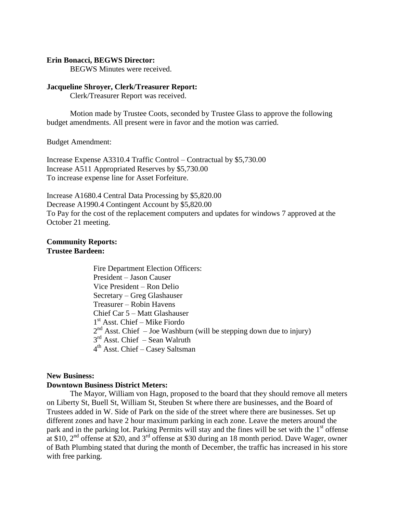#### **Erin Bonacci, BEGWS Director:**

BEGWS Minutes were received.

#### **Jacqueline Shroyer, Clerk/Treasurer Report:**

Clerk/Treasurer Report was received.

Motion made by Trustee Coots, seconded by Trustee Glass to approve the following budget amendments. All present were in favor and the motion was carried.

Budget Amendment:

Increase Expense A3310.4 Traffic Control – Contractual by \$5,730.00 Increase A511 Appropriated Reserves by \$5,730.00 To increase expense line for Asset Forfeiture.

Increase A1680.4 Central Data Processing by \$5,820.00 Decrease A1990.4 Contingent Account by \$5,820.00 To Pay for the cost of the replacement computers and updates for windows 7 approved at the October 21 meeting.

# **Community Reports: Trustee Bardeen:**

Fire Department Election Officers: President – Jason Causer Vice President – Ron Delio Secretary – Greg Glashauser Treasurer – Robin Havens Chief Car 5 – Matt Glashauser 1 st Asst. Chief – Mike Fiordo  $2<sup>nd</sup>$  Asst. Chief  $-$  Joe Washburn (will be stepping down due to injury) 3<sup>rd</sup> Asst. Chief – Sean Walruth 4<sup>th</sup> Asst. Chief – Casey Saltsman

### **New Business:**

### **Downtown Business District Meters:**

The Mayor, William von Hagn, proposed to the board that they should remove all meters on Liberty St, Buell St, William St, Steuben St where there are businesses, and the Board of Trustees added in W. Side of Park on the side of the street where there are businesses. Set up different zones and have 2 hour maximum parking in each zone. Leave the meters around the park and in the parking lot. Parking Permits will stay and the fines will be set with the  $1<sup>st</sup>$  offense at \$10,  $2<sup>nd</sup>$  offense at \$20, and  $3<sup>rd</sup>$  offense at \$30 during an 18 month period. Dave Wager, owner of Bath Plumbing stated that during the month of December, the traffic has increased in his store with free parking.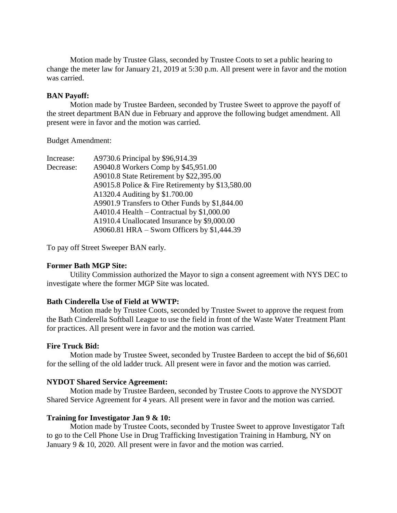Motion made by Trustee Glass, seconded by Trustee Coots to set a public hearing to change the meter law for January 21, 2019 at 5:30 p.m. All present were in favor and the motion was carried.

### **BAN Payoff:**

Motion made by Trustee Bardeen, seconded by Trustee Sweet to approve the payoff of the street department BAN due in February and approve the following budget amendment. All present were in favor and the motion was carried.

Budget Amendment:

| Increase: | A9730.6 Principal by \$96,914.39                 |
|-----------|--------------------------------------------------|
| Decrease: | A9040.8 Workers Comp by \$45,951.00              |
|           | A9010.8 State Retirement by \$22,395.00          |
|           | A9015.8 Police & Fire Retirementy by \$13,580.00 |
|           | A1320.4 Auditing by \$1.700.00                   |
|           | A9901.9 Transfers to Other Funds by \$1,844.00   |
|           | A4010.4 Health – Contractual by $$1,000.00$      |
|           | A1910.4 Unallocated Insurance by \$9,000.00      |
|           | A9060.81 HRA – Sworn Officers by $$1,444.39$     |

To pay off Street Sweeper BAN early.

### **Former Bath MGP Site:**

Utility Commission authorized the Mayor to sign a consent agreement with NYS DEC to investigate where the former MGP Site was located.

### **Bath Cinderella Use of Field at WWTP:**

Motion made by Trustee Coots, seconded by Trustee Sweet to approve the request from the Bath Cinderella Softball League to use the field in front of the Waste Water Treatment Plant for practices. All present were in favor and the motion was carried.

### **Fire Truck Bid:**

Motion made by Trustee Sweet, seconded by Trustee Bardeen to accept the bid of \$6,601 for the selling of the old ladder truck. All present were in favor and the motion was carried.

### **NYDOT Shared Service Agreement:**

Motion made by Trustee Bardeen, seconded by Trustee Coots to approve the NYSDOT Shared Service Agreement for 4 years. All present were in favor and the motion was carried.

#### **Training for Investigator Jan 9 & 10:**

Motion made by Trustee Coots, seconded by Trustee Sweet to approve Investigator Taft to go to the Cell Phone Use in Drug Trafficking Investigation Training in Hamburg, NY on January 9 & 10, 2020. All present were in favor and the motion was carried.